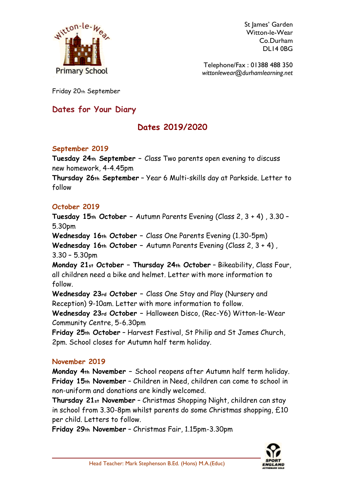

St James' Garden Witton-le-Wear Co.Durham DL14 0BG

Telephone/Fax : 01388 488 350 *wittonlewear@durhamlearning.net*

Friday 20th September

## **Dates for Your Diary**

# **Dates 2019/2020**

## **September 2019**

**Tuesday 24th September –** Class Two parents open evening to discuss new homework, 4-4.45pm

**Thursday 26th September** – Year 6 Multi-skills day at Parkside. Letter to follow

## **October 2019**

**Tuesday 15th October –** Autumn Parents Evening (Class 2, 3 + 4) , 3.30 – 5.30pm

**Wednesday 16th October –** Class One Parents Evening (1.30-5pm)

**Wednesday 16th October –** Autumn Parents Evening (Class 2, 3 + 4) , 3.30 – 5.30pm

**Monday 21st October – Thursday 24th October** – Bikeability, Class Four, all children need a bike and helmet. Letter with more information to follow.

**Wednesday 23rd October –** Class One Stay and Play (Nursery and Reception) 9-10am. Letter with more information to follow.

**Wednesday 23rd October –** Halloween Disco, (Rec-Y6) Witton-le-Wear Community Centre, 5-6.30pm

**Friday 25th October** – Harvest Festival, St Philip and St James Church, 2pm. School closes for Autumn half term holiday.

## **November 2019**

**Monday 4th November –** School reopens after Autumn half term holiday. **Friday 15th November** – Children in Need, children can come to school in non-uniform and donations are kindly welcomed.

**Thursday 21st November** – Christmas Shopping Night, children can stay in school from 3.30-8pm whilst parents do some Christmas shopping, £10 per child. Letters to follow.

**Friday 29th November** – Christmas Fair, 1.15pm-3.30pm

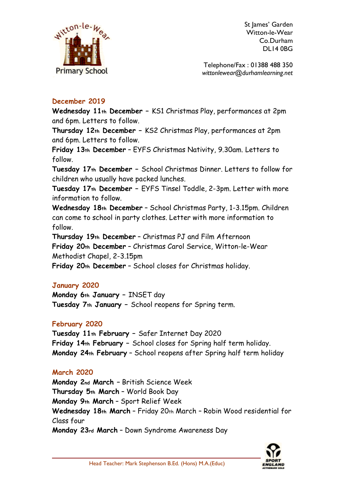

St lames' Garden Witton-le-Wear Co.Durham DL14 0BG

Telephone/Fax : 01388 488 350 *wittonlewear@durhamlearning.net*

## **December 2019**

**Wednesday 11th December –** KS1 Christmas Play, performances at 2pm and 6pm. Letters to follow.

**Thursday 12th December –** KS2 Christmas Play, performances at 2pm and 6pm. Letters to follow.

**Friday 13th December** – EYFS Christmas Nativity, 9.30am. Letters to follow.

**Tuesday 17th December –** School Christmas Dinner. Letters to follow for children who usually have packed lunches.

**Tuesday 17th December –** EYFS Tinsel Toddle, 2-3pm. Letter with more information to follow.

**Wednesday 18th December** – School Christmas Party, 1-3.15pm. Children can come to school in party clothes. Letter with more information to follow.

**Thursday 19th December** – Christmas PJ and Film Afternoon **Friday 20th December** – Christmas Carol Service, Witton-le-Wear Methodist Chapel, 2-3.15pm

**Friday 20th December** – School closes for Christmas holiday.

## **January 2020**

**Monday 6th January –** INSET day **Tuesday 7th January –** School reopens for Spring term.

## **February 2020**

**Tuesday 11th February –** Safer Internet Day 2020 **Friday 14th February –** School closes for Spring half term holiday. **Monday 24th February** – School reopens after Spring half term holiday

## **March 2020**

**Monday 2nd March –** British Science Week **Thursday 5th March** – World Book Day **Monday 9th March** – Sport Relief Week **Wednesday 18th March** – Friday 20th March – Robin Wood residential for Class four **Monday 23rd March** – Down Syndrome Awareness Day